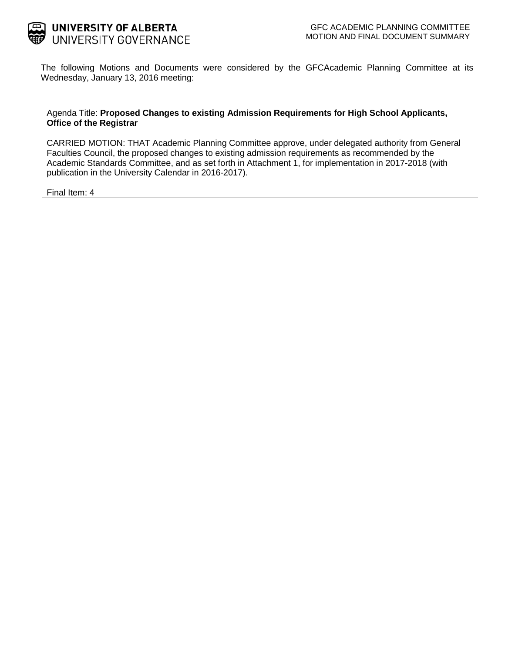

The following Motions and Documents were considered by the GFCAcademic Planning Committee at its Wednesday, January 13, 2016 meeting:

#### Agenda Title: **Proposed Changes to existing Admission Requirements for High School Applicants, Office of the Registrar**

CARRIED MOTION: THAT Academic Planning Committee approve, under delegated authority from General Faculties Council, the proposed changes to existing admission requirements as recommended by the Academic Standards Committee, and as set forth in Attachment 1, for implementation in 2017-2018 (with publication in the University Calendar in 2016-2017).

Final Ite[m: 4](#page-1-0)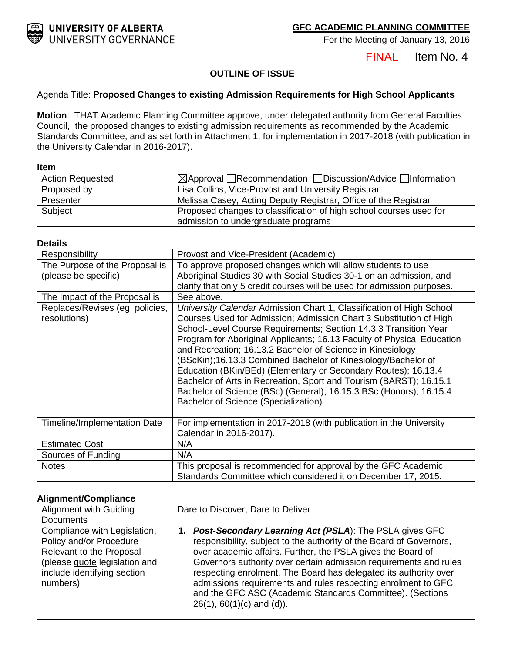<span id="page-1-0"></span>

For the Meeting of January 13, 2016

Item No. 4 FINAL

## **OUTLINE OF ISSUE**

### Agenda Title: **Proposed Changes to existing Admission Requirements for High School Applicants**

**Motion**: THAT Academic Planning Committee approve, under delegated authority from General Faculties Council, the proposed changes to existing admission requirements as recommended by the Academic Standards Committee, and as set forth in Attachment 1, for implementation in 2017-2018 (with publication in the University Calendar in 2016-2017).

#### **Item**

| <b>Action Requested</b> | $\Box$ Approval Recommendation $\Box$ Discussion/Advice $\Box$ Information |  |
|-------------------------|----------------------------------------------------------------------------|--|
| Proposed by             | Lisa Collins, Vice-Provost and University Registrar                        |  |
| Presenter               | Melissa Casey, Acting Deputy Registrar, Office of the Registrar            |  |
| Subject                 | Proposed changes to classification of high school courses used for         |  |
|                         | admission to undergraduate programs                                        |  |

#### **Details**

| Responsibility                                  | Provost and Vice-President (Academic)                                                                                                                                                                                                                                                                                                                                                                                                                                                                                                                                                                                                                                         |
|-------------------------------------------------|-------------------------------------------------------------------------------------------------------------------------------------------------------------------------------------------------------------------------------------------------------------------------------------------------------------------------------------------------------------------------------------------------------------------------------------------------------------------------------------------------------------------------------------------------------------------------------------------------------------------------------------------------------------------------------|
| The Purpose of the Proposal is                  | To approve proposed changes which will allow students to use                                                                                                                                                                                                                                                                                                                                                                                                                                                                                                                                                                                                                  |
| (please be specific)                            | Aboriginal Studies 30 with Social Studies 30-1 on an admission, and                                                                                                                                                                                                                                                                                                                                                                                                                                                                                                                                                                                                           |
|                                                 | clarify that only 5 credit courses will be used for admission purposes.                                                                                                                                                                                                                                                                                                                                                                                                                                                                                                                                                                                                       |
| The Impact of the Proposal is                   | See above.                                                                                                                                                                                                                                                                                                                                                                                                                                                                                                                                                                                                                                                                    |
| Replaces/Revises (eg, policies,<br>resolutions) | University Calendar Admission Chart 1, Classification of High School<br>Courses Used for Admission; Admission Chart 3 Substitution of High<br>School-Level Course Requirements; Section 14.3.3 Transition Year<br>Program for Aboriginal Applicants; 16.13 Faculty of Physical Education<br>and Recreation; 16.13.2 Bachelor of Science in Kinesiology<br>(BScKin);16.13.3 Combined Bachelor of Kinesiology/Bachelor of<br>Education (BKin/BEd) (Elementary or Secondary Routes); 16.13.4<br>Bachelor of Arts in Recreation, Sport and Tourism (BARST); 16.15.1<br>Bachelor of Science (BSc) (General); 16.15.3 BSc (Honors); 16.15.4<br>Bachelor of Science (Specialization) |
| Timeline/Implementation Date                    | For implementation in 2017-2018 (with publication in the University<br>Calendar in 2016-2017).                                                                                                                                                                                                                                                                                                                                                                                                                                                                                                                                                                                |
| <b>Estimated Cost</b>                           | N/A                                                                                                                                                                                                                                                                                                                                                                                                                                                                                                                                                                                                                                                                           |
| Sources of Funding                              | N/A                                                                                                                                                                                                                                                                                                                                                                                                                                                                                                                                                                                                                                                                           |
| <b>Notes</b>                                    | This proposal is recommended for approval by the GFC Academic<br>Standards Committee which considered it on December 17, 2015.                                                                                                                                                                                                                                                                                                                                                                                                                                                                                                                                                |

#### **Alignment/Compliance**

| Alignment with Guiding                                                                                                                                          | Dare to Discover, Dare to Deliver                                                                                                                                                                                                                                                                                                                                                                                                                                                                                     |  |
|-----------------------------------------------------------------------------------------------------------------------------------------------------------------|-----------------------------------------------------------------------------------------------------------------------------------------------------------------------------------------------------------------------------------------------------------------------------------------------------------------------------------------------------------------------------------------------------------------------------------------------------------------------------------------------------------------------|--|
| <b>Documents</b>                                                                                                                                                |                                                                                                                                                                                                                                                                                                                                                                                                                                                                                                                       |  |
| Compliance with Legislation,<br>Policy and/or Procedure<br>Relevant to the Proposal<br>(please quote legislation and<br>include identifying section<br>numbers) | <b>Post-Secondary Learning Act (PSLA): The PSLA gives GFC</b><br>1.<br>responsibility, subject to the authority of the Board of Governors,<br>over academic affairs. Further, the PSLA gives the Board of<br>Governors authority over certain admission requirements and rules<br>respecting enrolment. The Board has delegated its authority over<br>admissions requirements and rules respecting enrolment to GFC<br>and the GFC ASC (Academic Standards Committee). (Sections<br>$26(1)$ , $60(1)(c)$ and $(d)$ ). |  |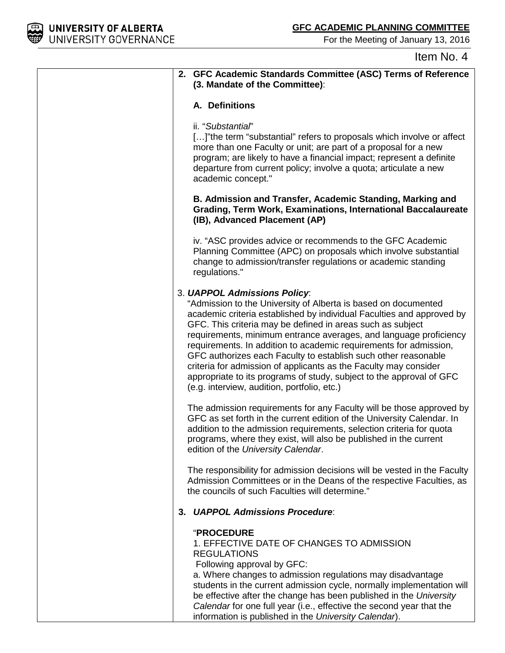

For the Meeting of January 13, 2016

# Item No. 4

| 2. GFC Academic Standards Committee (ASC) Terms of Reference<br>(3. Mandate of the Committee):                                                                                                                                                                                                                                                                                                                                                                                                                                                                                                                                               |
|----------------------------------------------------------------------------------------------------------------------------------------------------------------------------------------------------------------------------------------------------------------------------------------------------------------------------------------------------------------------------------------------------------------------------------------------------------------------------------------------------------------------------------------------------------------------------------------------------------------------------------------------|
| A. Definitions                                                                                                                                                                                                                                                                                                                                                                                                                                                                                                                                                                                                                               |
| ii. "Substantial"<br>[]" the term "substantial" refers to proposals which involve or affect<br>more than one Faculty or unit; are part of a proposal for a new<br>program; are likely to have a financial impact; represent a definite<br>departure from current policy; involve a quota; articulate a new<br>academic concept."                                                                                                                                                                                                                                                                                                             |
| B. Admission and Transfer, Academic Standing, Marking and<br>Grading, Term Work, Examinations, International Baccalaureate<br>(IB), Advanced Placement (AP)                                                                                                                                                                                                                                                                                                                                                                                                                                                                                  |
| iv. "ASC provides advice or recommends to the GFC Academic<br>Planning Committee (APC) on proposals which involve substantial<br>change to admission/transfer regulations or academic standing<br>regulations."                                                                                                                                                                                                                                                                                                                                                                                                                              |
| 3. UAPPOL Admissions Policy:<br>"Admission to the University of Alberta is based on documented<br>academic criteria established by individual Faculties and approved by<br>GFC. This criteria may be defined in areas such as subject<br>requirements, minimum entrance averages, and language proficiency<br>requirements. In addition to academic requirements for admission,<br>GFC authorizes each Faculty to establish such other reasonable<br>criteria for admission of applicants as the Faculty may consider<br>appropriate to its programs of study, subject to the approval of GFC<br>(e.g. interview, audition, portfolio, etc.) |
| The admission requirements for any Faculty will be those approved by<br>GFC as set forth in the current edition of the University Calendar. In<br>addition to the admission requirements, selection criteria for quota<br>programs, where they exist, will also be published in the current<br>edition of the University Calendar.                                                                                                                                                                                                                                                                                                           |
| The responsibility for admission decisions will be vested in the Faculty<br>Admission Committees or in the Deans of the respective Faculties, as<br>the councils of such Faculties will determine."                                                                                                                                                                                                                                                                                                                                                                                                                                          |
| 3. UAPPOL Admissions Procedure:                                                                                                                                                                                                                                                                                                                                                                                                                                                                                                                                                                                                              |
| <b>"PROCEDURE</b><br>1. EFFECTIVE DATE OF CHANGES TO ADMISSION<br><b>REGULATIONS</b><br>Following approval by GFC:<br>a. Where changes to admission regulations may disadvantage<br>students in the current admission cycle, normally implementation will<br>be effective after the change has been published in the University<br>Calendar for one full year (i.e., effective the second year that the<br>information is published in the University Calendar).                                                                                                                                                                             |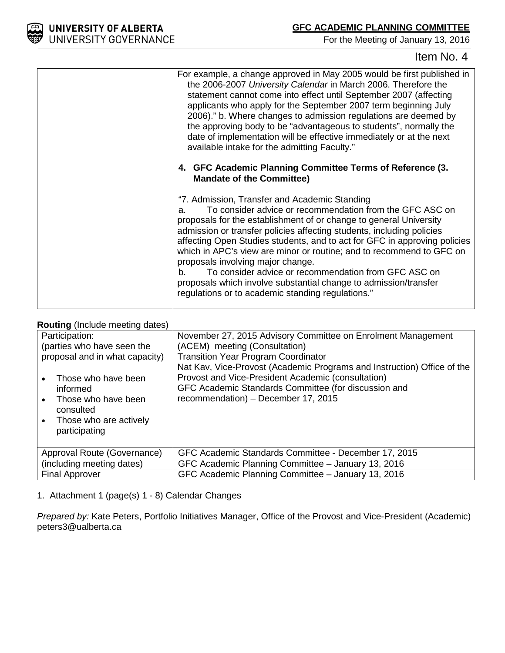For the Meeting of January 13, 2016

| For example, a change approved in May 2005 would be first published in<br>the 2006-2007 University Calendar in March 2006. Therefore the<br>statement cannot come into effect until September 2007 (affecting<br>applicants who apply for the September 2007 term beginning July<br>2006)." b. Where changes to admission regulations are deemed by<br>the approving body to be "advantageous to students", normally the<br>date of implementation will be effective immediately or at the next<br>available intake for the admitting Faculty."                                                                                                 |
|-------------------------------------------------------------------------------------------------------------------------------------------------------------------------------------------------------------------------------------------------------------------------------------------------------------------------------------------------------------------------------------------------------------------------------------------------------------------------------------------------------------------------------------------------------------------------------------------------------------------------------------------------|
| 4. GFC Academic Planning Committee Terms of Reference (3.<br><b>Mandate of the Committee)</b>                                                                                                                                                                                                                                                                                                                                                                                                                                                                                                                                                   |
| "7. Admission, Transfer and Academic Standing<br>To consider advice or recommendation from the GFC ASC on<br>a.<br>proposals for the establishment of or change to general University<br>admission or transfer policies affecting students, including policies<br>affecting Open Studies students, and to act for GFC in approving policies<br>which in APC's view are minor or routine; and to recommend to GFC on<br>proposals involving major change.<br>To consider advice or recommendation from GFC ASC on<br>b.<br>proposals which involve substantial change to admission/transfer<br>regulations or to academic standing regulations." |

### **Routing** (Include meeting dates)

| Participation:<br>(parties who have seen the<br>proposal and in what capacity)<br>Those who have been<br>informed<br>Those who have been<br>consulted<br>Those who are actively<br>participating | November 27, 2015 Advisory Committee on Enrolment Management<br>(ACEM) meeting (Consultation)<br><b>Transition Year Program Coordinator</b><br>Nat Kav, Vice-Provost (Academic Programs and Instruction) Office of the<br>Provost and Vice-President Academic (consultation)<br>GFC Academic Standards Committee (for discussion and<br>recommendation) - December 17, 2015 |
|--------------------------------------------------------------------------------------------------------------------------------------------------------------------------------------------------|-----------------------------------------------------------------------------------------------------------------------------------------------------------------------------------------------------------------------------------------------------------------------------------------------------------------------------------------------------------------------------|
| Approval Route (Governance)<br>(including meeting dates)                                                                                                                                         | GFC Academic Standards Committee - December 17, 2015<br>GFC Academic Planning Committee - January 13, 2016                                                                                                                                                                                                                                                                  |
| <b>Final Approver</b>                                                                                                                                                                            | GFC Academic Planning Committee - January 13, 2016                                                                                                                                                                                                                                                                                                                          |

1. Attachment 1 (page(s) 1 - 8) Calendar Changes

*Prepared by:* Kate Peters, Portfolio Initiatives Manager, Office of the Provost and Vice-President (Academic) peters3@ualberta.ca

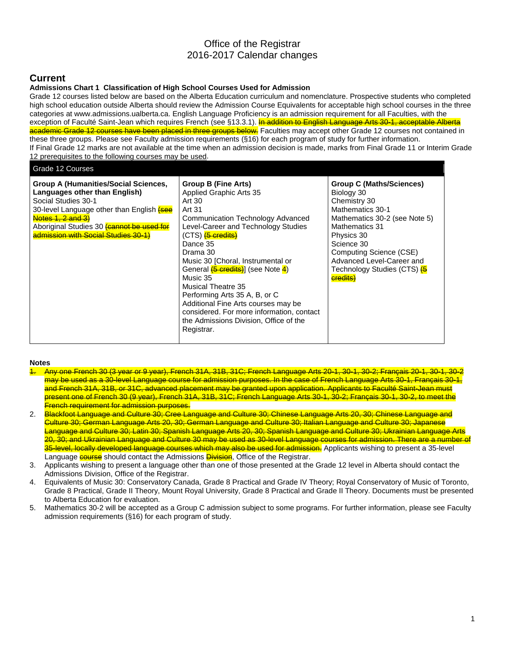## Office of the Registrar 2016-2017 Calendar changes

## **Current**

#### **Admissions Chart 1 Classification of High School Courses Used for Admission**

Grade 12 courses listed below are based on the Alberta Education curriculum and nomenclature. Prospective students who completed high school education outside Alberta should review the Admission Course Equivalents for acceptable high school courses in the three categories at www.admissions.ualberta.ca. English Language Proficiency is an admission requirement for all Faculties, with the exception of Faculté Saint-Jean which requires French (see §13.3.1). In addition to English Language Arts 30-1, acceptable Alberta academic Grade 12 courses have been placed in three groups below. Faculties may accept other Grade 12 courses not contained in these three groups. Please see Faculty admission requirements (§16) for each program of study for further information. If Final Grade 12 marks are not available at the time when an admission decision is made, marks from Final Grade 11 or Interim Grade 12 prerequisites to the following courses may be used.

#### Grade 12 Courses

| <b>Group A (Humanities/Social Sciences,</b><br>Languages other than English)<br>Social Studies 30-1<br>30-level Language other than English <b>(see</b><br>Notes 1, 2 and 3)<br>Aboriginal Studies 30 <b>(cannot be used for</b><br>admission with Social Studies 30-1) | <b>Group B (Fine Arts)</b><br>Applied Graphic Arts 35<br>Art 30<br>Art 31<br>Communication Technology Advanced<br>Level-Career and Technology Studies<br>(CTS) <b>(5 credits)</b><br>Dance 35<br>Drama 30<br>Music 30 [Choral, Instrumental or<br>General <i>(5 credits)</i> (see Note 4)<br>Music 35<br>Musical Theatre 35<br>Performing Arts 35 A, B, or C<br>Additional Fine Arts courses may be<br>considered. For more information, contact<br>the Admissions Division, Office of the<br>Registrar. | <b>Group C (Maths/Sciences)</b><br>Biology 30<br>Chemistry 30<br>Mathematics 30-1<br>Mathematics 30-2 (see Note 5)<br>Mathematics 31<br>Physics 30<br>Science 30<br>Computing Science (CSE)<br>Advanced Level-Career and<br>Technology Studies (CTS) <b>(6</b><br>credits) |
|-------------------------------------------------------------------------------------------------------------------------------------------------------------------------------------------------------------------------------------------------------------------------|----------------------------------------------------------------------------------------------------------------------------------------------------------------------------------------------------------------------------------------------------------------------------------------------------------------------------------------------------------------------------------------------------------------------------------------------------------------------------------------------------------|----------------------------------------------------------------------------------------------------------------------------------------------------------------------------------------------------------------------------------------------------------------------------|
|                                                                                                                                                                                                                                                                         |                                                                                                                                                                                                                                                                                                                                                                                                                                                                                                          |                                                                                                                                                                                                                                                                            |

#### **Notes**

- 1. Any one French 30 (3 year or 9 year), French 31A, 31B, 31C; French Language Arts 20-1, 30-1, 30-2; Français 20-1, 30-1, 30-2 may be used as a 30-level Language course for admission purposes. In the case of French Language Arts 30-1, Français 30-1, and French 31A, 31B, or 31C, advanced placement may be granted upon application. Applicants to Faculté Saint-Jean must present one of French 30 (9 year), French 31A, 31B, 31C; French Language Arts 30-1, 30-2; Français 30-1, 30-2, to meet the French requirement for admission purposes.
- 2. Blackfoot Language and Culture 30; Cree Language and Culture 30; Chinese Language Arts 20, 30; Chinese Language and Culture 30; German Language Arts 20, 30; German Language and Culture 30; Italian Language and Culture 30; Japanese Language and Culture 30; Latin 30; Spanish Language Arts 20, 30; Spanish Language and Culture 30; Ukrainian Language Arts 20, 30; and Ukrainian Language and Culture 30 may be used as 30-level Language courses for admission. There are a number of 35-level, locally developed language courses which may also be used for admission. Applicants wishing to present a 35-level Language **course** should contact the Admissions **Division**, Office of the Registrar.
- 3. Applicants wishing to present a language other than one of those presented at the Grade 12 level in Alberta should contact the Admissions Division, Office of the Registrar.
- 4. Equivalents of Music 30: Conservatory Canada, Grade 8 Practical and Grade IV Theory; Royal Conservatory of Music of Toronto, Grade 8 Practical, Grade II Theory, Mount Royal University, Grade 8 Practical and Grade II Theory. Documents must be presented to Alberta Education for evaluation.
- 5. Mathematics 30-2 will be accepted as a Group C admission subject to some programs. For further information, please see Faculty admission requirements (§16) for each program of study.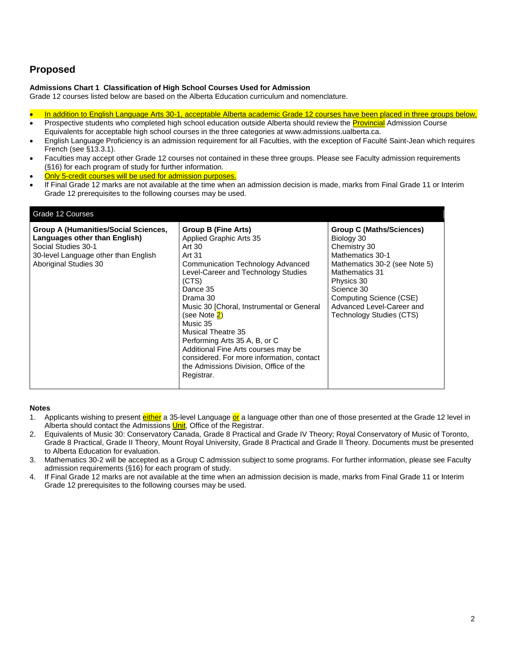## **Proposed**

#### **Admissions Chart 1 Classification of High School Courses Used for Admission**

Grade 12 courses listed below are based on the Alberta Education curriculum and nomenclature.

- In addition to English Language Arts 30-1, acceptable Alberta academic Grade 12 courses have been placed in three groups below.
- Prospective students who completed high school education outside Alberta should review the **Provincial** Admission Course Equivalents for acceptable high school courses in the three categories at www.admissions.ualberta.ca.
- English Language Proficiency is an admission requirement for all Faculties, with the exception of Faculté Saint-Jean which requires French (see §13.3.1).
- Faculties may accept other Grade 12 courses not contained in these three groups. Please see Faculty admission requirements (§16) for each program of study for further information.
- Only 5-credit courses will be used for admission purposes.
- If Final Grade 12 marks are not available at the time when an admission decision is made, marks from Final Grade 11 or Interim Grade 12 prerequisites to the following courses may be used.

| Grade 12 Courses                                                                                                                                              |                                                                                                                                                                                                                                                                                                                                                                                                                                                                                         |                                                                                                                                                                                                                                                             |
|---------------------------------------------------------------------------------------------------------------------------------------------------------------|-----------------------------------------------------------------------------------------------------------------------------------------------------------------------------------------------------------------------------------------------------------------------------------------------------------------------------------------------------------------------------------------------------------------------------------------------------------------------------------------|-------------------------------------------------------------------------------------------------------------------------------------------------------------------------------------------------------------------------------------------------------------|
| Group A (Humanities/Social Sciences,<br>Languages other than English)<br>Social Studies 30-1<br>30-level Language other than English<br>Aboriginal Studies 30 | <b>Group B (Fine Arts)</b><br>Applied Graphic Arts 35<br>Art 30<br>Art 31<br>Communication Technology Advanced<br>Level-Career and Technology Studies<br>(CTS)<br>Dance 35<br>Drama 30<br>Music 30 [Choral, Instrumental or General<br>(see Note <mark>2</mark> )<br>Music 35<br><b>Musical Theatre 35</b><br>Performing Arts 35 A, B, or C<br>Additional Fine Arts courses may be<br>considered. For more information, contact<br>the Admissions Division, Office of the<br>Registrar. | <b>Group C (Maths/Sciences)</b><br>Biology 30<br>Chemistry 30<br>Mathematics 30-1<br>Mathematics 30-2 (see Note 5)<br><b>Mathematics 31</b><br>Physics 30<br>Science 30<br>Computing Science (CSE)<br>Advanced Level-Career and<br>Technology Studies (CTS) |
|                                                                                                                                                               |                                                                                                                                                                                                                                                                                                                                                                                                                                                                                         |                                                                                                                                                                                                                                                             |

#### **Notes**

- 1. Applicants wishing to present *either* a 35-level Language or a language other than one of those presented at the Grade 12 level in Alberta should contact the Admissions *Unit*, Office of the Registrar.
- 2. Equivalents of Music 30: Conservatory Canada, Grade 8 Practical and Grade IV Theory; Royal Conservatory of Music of Toronto, Grade 8 Practical, Grade II Theory, Mount Royal University, Grade 8 Practical and Grade II Theory. Documents must be presented to Alberta Education for evaluation.
- 3. Mathematics 30-2 will be accepted as a Group C admission subject to some programs. For further information, please see Faculty admission requirements (§16) for each program of study.
- 4. If Final Grade 12 marks are not available at the time when an admission decision is made, marks from Final Grade 11 or Interim Grade 12 prerequisites to the following courses may be used.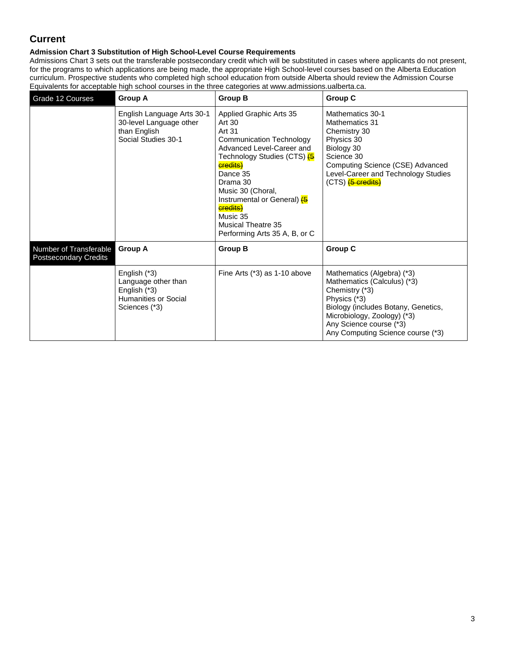## **Current**

### **Admission Chart 3 Substitution of High School-Level Course Requirements**

Admissions Chart 3 sets out the transferable postsecondary credit which will be substituted in cases where applicants do not present, for the programs to which applications are being made, the appropriate High School-level courses based on the Alberta Education curriculum. Prospective students who completed high school education from outside Alberta should review the Admission Course Equivalents for acceptable high school courses in the three categories at www.admissions.ualberta.ca.

| Grade 12 Courses                                       | <b>Group A</b>                                                                                      | <b>Group B</b>                                                                                                                                                                                                                                                                                                                                 | <b>Group C</b>                                                                                                                                                                                                                    |
|--------------------------------------------------------|-----------------------------------------------------------------------------------------------------|------------------------------------------------------------------------------------------------------------------------------------------------------------------------------------------------------------------------------------------------------------------------------------------------------------------------------------------------|-----------------------------------------------------------------------------------------------------------------------------------------------------------------------------------------------------------------------------------|
|                                                        | English Language Arts 30-1<br>30-level Language other<br>than English<br>Social Studies 30-1        | Applied Graphic Arts 35<br>Art 30<br>Art 31<br><b>Communication Technology</b><br>Advanced Level-Career and<br>Technology Studies (CTS) <b>(5</b><br><b>credits</b> )<br>Dance 35<br>Drama 30<br>Music 30 (Choral,<br>Instrumental or General) (6<br><b>credits)</b><br>Music 35<br><b>Musical Theatre 35</b><br>Performing Arts 35 A, B, or C | Mathematics 30-1<br><b>Mathematics 31</b><br>Chemistry 30<br>Physics 30<br>Biology 30<br>Science 30<br>Computing Science (CSE) Advanced<br>Level-Career and Technology Studies<br>(CTS) <b>(5 credits)</b>                        |
| Number of Transferable<br><b>Postsecondary Credits</b> | <b>Group A</b>                                                                                      | <b>Group B</b>                                                                                                                                                                                                                                                                                                                                 | Group C                                                                                                                                                                                                                           |
|                                                        | English (*3)<br>Language other than<br>English (*3)<br><b>Humanities or Social</b><br>Sciences (*3) | Fine Arts (*3) as 1-10 above                                                                                                                                                                                                                                                                                                                   | Mathematics (Algebra) (*3)<br>Mathematics (Calculus) (*3)<br>Chemistry (*3)<br>Physics (*3)<br>Biology (includes Botany, Genetics,<br>Microbiology, Zoology) (*3)<br>Any Science course (*3)<br>Any Computing Science course (*3) |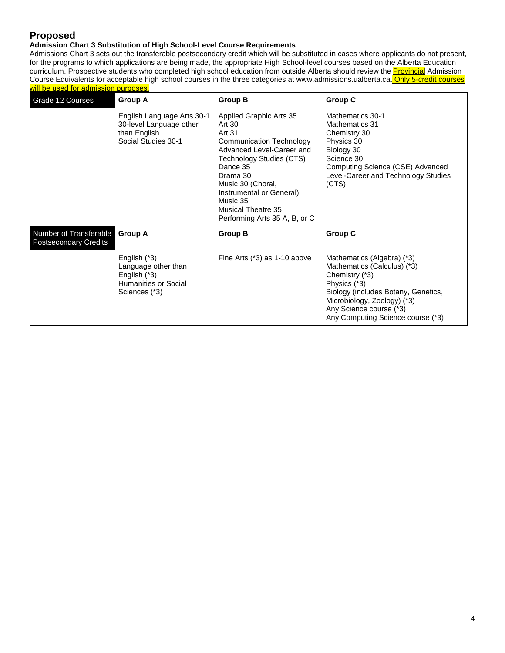## **Proposed**

#### **Admission Chart 3 Substitution of High School-Level Course Requirements**

Admissions Chart 3 sets out the transferable postsecondary credit which will be substituted in cases where applicants do not present, for the programs to which applications are being made, the appropriate High School-level courses based on the Alberta Education curriculum. Prospective students who completed high school education from outside Alberta should review the **Provincial** Admission Course Equivalents for acceptable high school courses in the three categories at www.admissions.ualberta.ca. Only 5-credit courses will be used for admission purposes.

| Grade 12 Courses                                       | <b>Group A</b>                                                                                 | <b>Group B</b>                                                                                                                                                                                                                                                                      | Group C                                                                                                                                                                                                                           |
|--------------------------------------------------------|------------------------------------------------------------------------------------------------|-------------------------------------------------------------------------------------------------------------------------------------------------------------------------------------------------------------------------------------------------------------------------------------|-----------------------------------------------------------------------------------------------------------------------------------------------------------------------------------------------------------------------------------|
|                                                        | English Language Arts 30-1<br>30-level Language other<br>than English<br>Social Studies 30-1   | Applied Graphic Arts 35<br>Art 30<br>Art 31<br><b>Communication Technology</b><br>Advanced Level-Career and<br>Technology Studies (CTS)<br>Dance 35<br>Drama 30<br>Music 30 (Choral,<br>Instrumental or General)<br>Music 35<br>Musical Theatre 35<br>Performing Arts 35 A, B, or C | Mathematics 30-1<br><b>Mathematics 31</b><br>Chemistry 30<br>Physics 30<br>Biology 30<br>Science 30<br>Computing Science (CSE) Advanced<br>Level-Career and Technology Studies<br>(CTS)                                           |
| Number of Transferable<br><b>Postsecondary Credits</b> | <b>Group A</b>                                                                                 | <b>Group B</b>                                                                                                                                                                                                                                                                      | Group C                                                                                                                                                                                                                           |
|                                                        | English $(*3)$<br>Language other than<br>English (*3)<br>Humanities or Social<br>Sciences (*3) | Fine Arts (*3) as 1-10 above                                                                                                                                                                                                                                                        | Mathematics (Algebra) (*3)<br>Mathematics (Calculus) (*3)<br>Chemistry (*3)<br>Physics (*3)<br>Biology (includes Botany, Genetics,<br>Microbiology, Zoology) (*3)<br>Any Science course (*3)<br>Any Computing Science course (*3) |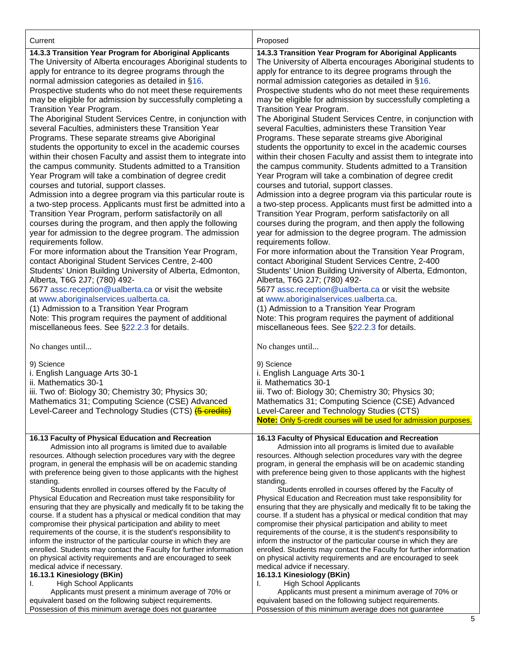| Current                                                                                                                                                                                                                                                                                                                                                                                                                                                                                                                                                                                                                                                                                                                                                                                                                                                                                                                                                                                                                                                                                                                                                                                                                                                                                                                                                                                                                                                                                                                                                                                                                                                                        | Proposed                                                                                                                                                                                                                                                                                                                                                                                                                                                                                                                                                                                                                                                                                                                                                                                                                                                                                                                                                                                                                                                                                                                                                                                                                                                                                                                                                                                                                                                                                                                                                                                                                                                                       |
|--------------------------------------------------------------------------------------------------------------------------------------------------------------------------------------------------------------------------------------------------------------------------------------------------------------------------------------------------------------------------------------------------------------------------------------------------------------------------------------------------------------------------------------------------------------------------------------------------------------------------------------------------------------------------------------------------------------------------------------------------------------------------------------------------------------------------------------------------------------------------------------------------------------------------------------------------------------------------------------------------------------------------------------------------------------------------------------------------------------------------------------------------------------------------------------------------------------------------------------------------------------------------------------------------------------------------------------------------------------------------------------------------------------------------------------------------------------------------------------------------------------------------------------------------------------------------------------------------------------------------------------------------------------------------------|--------------------------------------------------------------------------------------------------------------------------------------------------------------------------------------------------------------------------------------------------------------------------------------------------------------------------------------------------------------------------------------------------------------------------------------------------------------------------------------------------------------------------------------------------------------------------------------------------------------------------------------------------------------------------------------------------------------------------------------------------------------------------------------------------------------------------------------------------------------------------------------------------------------------------------------------------------------------------------------------------------------------------------------------------------------------------------------------------------------------------------------------------------------------------------------------------------------------------------------------------------------------------------------------------------------------------------------------------------------------------------------------------------------------------------------------------------------------------------------------------------------------------------------------------------------------------------------------------------------------------------------------------------------------------------|
| 14.3.3 Transition Year Program for Aboriginal Applicants<br>The University of Alberta encourages Aboriginal students to<br>apply for entrance to its degree programs through the<br>normal admission categories as detailed in §16.<br>Prospective students who do not meet these requirements<br>may be eligible for admission by successfully completing a<br>Transition Year Program.<br>The Aboriginal Student Services Centre, in conjunction with<br>several Faculties, administers these Transition Year<br>Programs. These separate streams give Aboriginal<br>students the opportunity to excel in the academic courses<br>within their chosen Faculty and assist them to integrate into<br>the campus community. Students admitted to a Transition<br>Year Program will take a combination of degree credit<br>courses and tutorial, support classes.<br>Admission into a degree program via this particular route is<br>a two-step process. Applicants must first be admitted into a<br>Transition Year Program, perform satisfactorily on all<br>courses during the program, and then apply the following<br>year for admission to the degree program. The admission<br>requirements follow.<br>For more information about the Transition Year Program,<br>contact Aboriginal Student Services Centre, 2-400<br>Students' Union Building University of Alberta, Edmonton,<br>Alberta, T6G 2J7; (780) 492-<br>5677 assc.reception@ualberta.ca or visit the website<br>at www.aboriginalservices.ualberta.ca.<br>(1) Admission to a Transition Year Program<br>Note: This program requires the payment of additional<br>miscellaneous fees. See §22.2.3 for details. | 14.3.3 Transition Year Program for Aboriginal Applicants<br>The University of Alberta encourages Aboriginal students to<br>apply for entrance to its degree programs through the<br>normal admission categories as detailed in §16.<br>Prospective students who do not meet these requirements<br>may be eligible for admission by successfully completing a<br>Transition Year Program.<br>The Aboriginal Student Services Centre, in conjunction with<br>several Faculties, administers these Transition Year<br>Programs. These separate streams give Aboriginal<br>students the opportunity to excel in the academic courses<br>within their chosen Faculty and assist them to integrate into<br>the campus community. Students admitted to a Transition<br>Year Program will take a combination of degree credit<br>courses and tutorial, support classes.<br>Admission into a degree program via this particular route is<br>a two-step process. Applicants must first be admitted into a<br>Transition Year Program, perform satisfactorily on all<br>courses during the program, and then apply the following<br>year for admission to the degree program. The admission<br>requirements follow.<br>For more information about the Transition Year Program,<br>contact Aboriginal Student Services Centre, 2-400<br>Students' Union Building University of Alberta, Edmonton,<br>Alberta, T6G 2J7; (780) 492-<br>5677 assc.reception@ualberta.ca or visit the website<br>at www.aboriginalservices.ualberta.ca.<br>(1) Admission to a Transition Year Program<br>Note: This program requires the payment of additional<br>miscellaneous fees. See §22.2.3 for details. |
| No changes until                                                                                                                                                                                                                                                                                                                                                                                                                                                                                                                                                                                                                                                                                                                                                                                                                                                                                                                                                                                                                                                                                                                                                                                                                                                                                                                                                                                                                                                                                                                                                                                                                                                               | No changes until                                                                                                                                                                                                                                                                                                                                                                                                                                                                                                                                                                                                                                                                                                                                                                                                                                                                                                                                                                                                                                                                                                                                                                                                                                                                                                                                                                                                                                                                                                                                                                                                                                                               |
| 9) Science<br>i. English Language Arts 30-1<br>ii. Mathematics 30-1<br>iii. Two of: Biology 30; Chemistry 30; Physics 30;<br>Mathematics 31; Computing Science (CSE) Advanced<br>Level-Career and Technology Studies (CTS) (5 credits)                                                                                                                                                                                                                                                                                                                                                                                                                                                                                                                                                                                                                                                                                                                                                                                                                                                                                                                                                                                                                                                                                                                                                                                                                                                                                                                                                                                                                                         | 9) Science<br>i. English Language Arts 30-1<br>ii. Mathematics 30-1<br>iii. Two of: Biology 30; Chemistry 30; Physics 30;<br>Mathematics 31; Computing Science (CSE) Advanced<br>Level-Career and Technology Studies (CTS)<br>Note: Only 5-credit courses will be used for admission purposes.                                                                                                                                                                                                                                                                                                                                                                                                                                                                                                                                                                                                                                                                                                                                                                                                                                                                                                                                                                                                                                                                                                                                                                                                                                                                                                                                                                                 |
| 16.13 Faculty of Physical Education and Recreation<br>Admission into all programs is limited due to available<br>resources. Although selection procedures vary with the degree<br>program, in general the emphasis will be on academic standing<br>with preference being given to those applicants with the highest<br>standing.<br>Students enrolled in courses offered by the Faculty of<br>Physical Education and Recreation must take responsibility for<br>ensuring that they are physically and medically fit to be taking the<br>course. If a student has a physical or medical condition that may<br>compromise their physical participation and ability to meet<br>requirements of the course, it is the student's responsibility to<br>inform the instructor of the particular course in which they are<br>enrolled. Students may contact the Faculty for further information<br>on physical activity requirements and are encouraged to seek<br>medical advice if necessary.<br>16.13.1 Kinesiology (BKin)<br><b>High School Applicants</b><br>ı.<br>Applicants must present a minimum average of 70% or<br>equivalent based on the following subject requirements.<br>Possession of this minimum average does not guarantee                                                                                                                                                                                                                                                                                                                                                                                                                                        | 16.13 Faculty of Physical Education and Recreation<br>Admission into all programs is limited due to available<br>resources. Although selection procedures vary with the degree<br>program, in general the emphasis will be on academic standing<br>with preference being given to those applicants with the highest<br>standing.<br>Students enrolled in courses offered by the Faculty of<br>Physical Education and Recreation must take responsibility for<br>ensuring that they are physically and medically fit to be taking the<br>course. If a student has a physical or medical condition that may<br>compromise their physical participation and ability to meet<br>requirements of the course, it is the student's responsibility to<br>inform the instructor of the particular course in which they are<br>enrolled. Students may contact the Faculty for further information<br>on physical activity requirements and are encouraged to seek<br>medical advice if necessary.<br>16.13.1 Kinesiology (BKin)<br><b>High School Applicants</b><br>ı.<br>Applicants must present a minimum average of 70% or<br>equivalent based on the following subject requirements.<br>Possession of this minimum average does not guarantee                                                                                                                                                                                                                                                                                                                                                                                                                                        |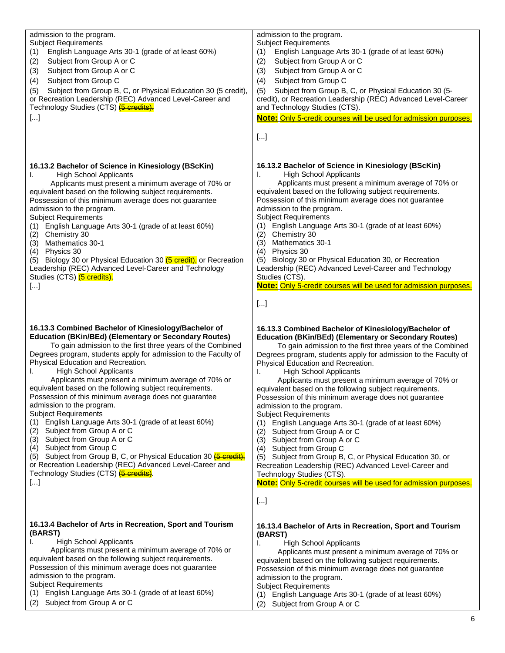| admission to the program.<br><b>Subject Requirements</b><br>English Language Arts 30-1 (grade of at least 60%)<br>(1)<br>Subject from Group A or C<br>(2)<br>Subject from Group A or C<br>(3)<br>Subject from Group C<br>(4)<br>Subject from Group B, C, or Physical Education 30 (5 credit),<br>(5)<br>or Recreation Leadership (REC) Advanced Level-Career and<br>Technology Studies (CTS) (5 credits).<br>$[]$                                                                                                                                                                                                                                                                                                                                                                                                                                                                                                      | admission to the program.<br><b>Subject Requirements</b><br>(1)<br>English Language Arts 30-1 (grade of at least 60%)<br>Subject from Group A or C<br>(2)<br>(3)<br>Subject from Group A or C<br>Subject from Group C<br>(4)<br>Subject from Group B, C, or Physical Education 30 (5-<br>(5)<br>credit), or Recreation Leadership (REC) Advanced Level-Career<br>and Technology Studies (CTS).<br>Note: Only 5-credit courses will be used for admission purposes.<br>$[]$                                                                                                                                                                                                                                                                                                                                                                                                                                                                                          |
|------------------------------------------------------------------------------------------------------------------------------------------------------------------------------------------------------------------------------------------------------------------------------------------------------------------------------------------------------------------------------------------------------------------------------------------------------------------------------------------------------------------------------------------------------------------------------------------------------------------------------------------------------------------------------------------------------------------------------------------------------------------------------------------------------------------------------------------------------------------------------------------------------------------------|---------------------------------------------------------------------------------------------------------------------------------------------------------------------------------------------------------------------------------------------------------------------------------------------------------------------------------------------------------------------------------------------------------------------------------------------------------------------------------------------------------------------------------------------------------------------------------------------------------------------------------------------------------------------------------------------------------------------------------------------------------------------------------------------------------------------------------------------------------------------------------------------------------------------------------------------------------------------|
| 16.13.2 Bachelor of Science in Kinesiology (BScKin)<br><b>High School Applicants</b><br>ı.<br>Applicants must present a minimum average of 70% or<br>equivalent based on the following subject requirements.<br>Possession of this minimum average does not guarantee<br>admission to the program.<br><b>Subject Requirements</b><br>(1) English Language Arts 30-1 (grade of at least 60%)<br>(2) Chemistry 30<br>(3) Mathematics 30-1<br>$(4)$ Physics 30<br>(5) Biology 30 or Physical Education 30 (6 credit), or Recreation<br>Leadership (REC) Advanced Level-Career and Technology<br>Studies (CTS) <b>(5 credits).</b><br>$[]$                                                                                                                                                                                                                                                                                 | 16.13.2 Bachelor of Science in Kinesiology (BScKin)<br><b>High School Applicants</b><br>I.<br>Applicants must present a minimum average of 70% or<br>equivalent based on the following subject requirements.<br>Possession of this minimum average does not guarantee<br>admission to the program.<br><b>Subject Requirements</b><br>English Language Arts 30-1 (grade of at least 60%)<br>(1)<br>(2)<br>Chemistry 30<br>(3)<br><b>Mathematics 30-1</b><br>(4)<br>Physics 30<br>Biology 30 or Physical Education 30, or Recreation<br>(5)<br>Leadership (REC) Advanced Level-Career and Technology<br>Studies (CTS).<br>Note: Only 5-credit courses will be used for admission purposes.<br>$[]$                                                                                                                                                                                                                                                                    |
| 16.13.3 Combined Bachelor of Kinesiology/Bachelor of<br><b>Education (BKin/BEd) (Elementary or Secondary Routes)</b><br>To gain admission to the first three years of the Combined<br>Degrees program, students apply for admission to the Faculty of<br>Physical Education and Recreation.<br><b>High School Applicants</b><br>I.<br>Applicants must present a minimum average of 70% or<br>equivalent based on the following subject requirements.<br>Possession of this minimum average does not guarantee<br>admission to the program.<br><b>Subject Requirements</b><br>(1) English Language Arts 30-1 (grade of at least 60%)<br>Subject from Group A or C<br>(2)<br>(3) Subject from Group A or C<br>(4) Subject from Group C<br>(5) Subject from Group B, C, or Physical Education 30 (5 credit),<br>or Recreation Leadership (REC) Advanced Level-Career and<br>Technology Studies (CTS) (6 credits).<br>$[]$ | 16.13.3 Combined Bachelor of Kinesiology/Bachelor of<br><b>Education (BKin/BEd) (Elementary or Secondary Routes)</b><br>To gain admission to the first three years of the Combined<br>Degrees program, students apply for admission to the Faculty of<br>Physical Education and Recreation.<br><b>High School Applicants</b><br>I.<br>Applicants must present a minimum average of 70% or<br>equivalent based on the following subject requirements.<br>Possession of this minimum average does not guarantee<br>admission to the program.<br><b>Subject Requirements</b><br>(1) English Language Arts 30-1 (grade of at least 60%)<br>Subject from Group A or C<br>(2)<br>(3) Subject from Group A or C<br>(4) Subject from Group C<br>(5) Subject from Group B, C, or Physical Education 30, or<br>Recreation Leadership (REC) Advanced Level-Career and<br>Technology Studies (CTS).<br>Note: Only 5-credit courses will be used for admission purposes.<br>$[]$ |
| 16.13.4 Bachelor of Arts in Recreation, Sport and Tourism<br>(BARST)<br><b>High School Applicants</b><br>I.<br>Applicants must present a minimum average of 70% or<br>equivalent based on the following subject requirements.<br>Possession of this minimum average does not guarantee<br>admission to the program.<br><b>Subject Requirements</b><br>English Language Arts 30-1 (grade of at least 60%)<br>(1)<br>Subject from Group A or C<br>(2)                                                                                                                                                                                                                                                                                                                                                                                                                                                                    | 16.13.4 Bachelor of Arts in Recreation, Sport and Tourism<br>(BARST)<br><b>High School Applicants</b><br>L.<br>Applicants must present a minimum average of 70% or<br>equivalent based on the following subject requirements.<br>Possession of this minimum average does not guarantee<br>admission to the program.<br><b>Subject Requirements</b><br>English Language Arts 30-1 (grade of at least 60%)<br>(1)<br>(2)<br>Subject from Group A or C                                                                                                                                                                                                                                                                                                                                                                                                                                                                                                                 |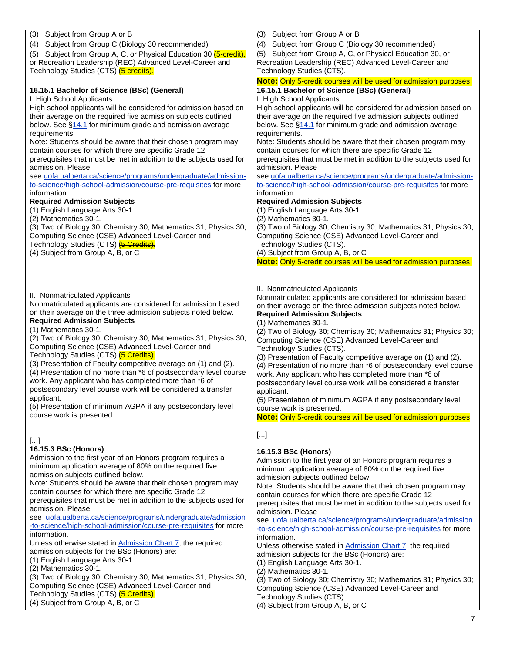| Subject from Group A or B<br>(3)                                     | Subject from Group A or B<br>(3)                                       |
|----------------------------------------------------------------------|------------------------------------------------------------------------|
| Subject from Group C (Biology 30 recommended)<br>(4)                 | Subject from Group C (Biology 30 recommended)<br>(4)                   |
|                                                                      |                                                                        |
| Subject from Group A, C, or Physical Education 30 (5-credit),<br>(5) | (5) Subject from Group A, C, or Physical Education 30, or              |
| or Recreation Leadership (REC) Advanced Level-Career and             | Recreation Leadership (REC) Advanced Level-Career and                  |
| Technology Studies (CTS) <del>(5 credits).</del>                     | Technology Studies (CTS).                                              |
|                                                                      | Note: Only 5-credit courses will be used for admission purposes.       |
| 16.15.1 Bachelor of Science (BSc) (General)                          | 16.15.1 Bachelor of Science (BSc) (General)                            |
| I. High School Applicants                                            | I. High School Applicants                                              |
| High school applicants will be considered for admission based on     | High school applicants will be considered for admission based on       |
| their average on the required five admission subjects outlined       | their average on the required five admission subjects outlined         |
| below. See §14.1 for minimum grade and admission average             | below. See §14.1 for minimum grade and admission average               |
| requirements.                                                        | requirements.                                                          |
| Note: Students should be aware that their chosen program may         | Note: Students should be aware that their chosen program may           |
| contain courses for which there are specific Grade 12                | contain courses for which there are specific Grade 12                  |
| prerequisites that must be met in addition to the subjects used for  | prerequisites that must be met in addition to the subjects used for    |
| admission. Please                                                    | admission. Please                                                      |
| see uofa.ualberta.ca/science/programs/undergraduate/admission-       | see uofa.ualberta.ca/science/programs/undergraduate/admission-         |
| to-science/high-school-admission/course-pre-requisites for more      | to-science/high-school-admission/course-pre-requisites for more        |
| information.                                                         | information.                                                           |
| <b>Required Admission Subjects</b>                                   | <b>Required Admission Subjects</b>                                     |
| (1) English Language Arts 30-1.                                      | (1) English Language Arts 30-1.                                        |
| (2) Mathematics 30-1.                                                | (2) Mathematics 30-1.                                                  |
| (3) Two of Biology 30; Chemistry 30; Mathematics 31; Physics 30;     | (3) Two of Biology 30; Chemistry 30; Mathematics 31; Physics 30;       |
| Computing Science (CSE) Advanced Level-Career and                    | Computing Science (CSE) Advanced Level-Career and                      |
| Technology Studies (CTS) <b>(5 Credits).</b>                         | Technology Studies (CTS).                                              |
| (4) Subject from Group A, B, or C                                    | (4) Subject from Group A, B, or C                                      |
|                                                                      | Note: Only 5-credit courses will be used for admission purposes.       |
|                                                                      |                                                                        |
|                                                                      |                                                                        |
|                                                                      | II. Nonmatriculated Applicants                                         |
| II. Nonmatriculated Applicants                                       | Nonmatriculated applicants are considered for admission based          |
| Nonmatriculated applicants are considered for admission based        | on their average on the three admission subjects noted below.          |
| on their average on the three admission subjects noted below.        | <b>Required Admission Subjects</b>                                     |
| <b>Required Admission Subjects</b>                                   | (1) Mathematics 30-1.                                                  |
| (1) Mathematics 30-1.                                                | (2) Two of Biology 30; Chemistry 30; Mathematics 31; Physics 30;       |
| (2) Two of Biology 30; Chemistry 30; Mathematics 31; Physics 30;     | Computing Science (CSE) Advanced Level-Career and                      |
| Computing Science (CSE) Advanced Level-Career and                    | Technology Studies (CTS).                                              |
| Technology Studies (CTS) <b>(5 Credits).</b>                         | (3) Presentation of Faculty competitive average on (1) and (2).        |
| (3) Presentation of Faculty competitive average on (1) and (2).      | (4) Presentation of no more than *6 of postsecondary level course      |
| (4) Presentation of no more than *6 of postsecondary level course    | work. Any applicant who has completed more than *6 of                  |
| work. Any applicant who has completed more than *6 of                | postsecondary level course work will be considered a transfer          |
| postsecondary level course work will be considered a transfer        | applicant.                                                             |
| applicant.                                                           | (5) Presentation of minimum AGPA if any postsecondary level            |
| (5) Presentation of minimum AGPA if any postsecondary level          | course work is presented.                                              |
| course work is presented.                                            | <b>Note:</b> Only 5-credit courses will be used for admission purposes |
|                                                                      |                                                                        |
|                                                                      | []                                                                     |
| $[]$<br>16.15.3 BSc (Honors)                                         |                                                                        |
|                                                                      | 16.15.3 BSc (Honors)                                                   |
| Admission to the first year of an Honors program requires a          | Admission to the first year of an Honors program requires a            |
| minimum application average of 80% on the required five              | minimum application average of 80% on the required five                |
| admission subjects outlined below.                                   | admission subjects outlined below.                                     |
| Note: Students should be aware that their chosen program may         | Note: Students should be aware that their chosen program may           |
| contain courses for which there are specific Grade 12                | contain courses for which there are specific Grade 12                  |
| prerequisites that must be met in addition to the subjects used for  | prerequisites that must be met in addition to the subjects used for    |
| admission. Please                                                    | admission. Please                                                      |
| see uofa.ualberta.ca/science/programs/undergraduate/admission        | see uofa.ualberta.ca/science/programs/undergraduate/admission          |
| -to-science/high-school-admission/course-pre-requisites for more     | -to-science/high-school-admission/course-pre-requisites for more       |
| information.                                                         | information.                                                           |
| Unless otherwise stated in Admission Chart 7, the required           | Unless otherwise stated in Admission Chart 7, the required             |
| admission subjects for the BSc (Honors) are:                         | admission subjects for the BSc (Honors) are:                           |
| (1) English Language Arts 30-1.                                      | (1) English Language Arts 30-1.                                        |
| (2) Mathematics 30-1.                                                | (2) Mathematics 30-1.                                                  |
| (3) Two of Biology 30; Chemistry 30; Mathematics 31; Physics 30;     | (3) Two of Biology 30; Chemistry 30; Mathematics 31; Physics 30;       |
| Computing Science (CSE) Advanced Level-Career and                    | Computing Science (CSE) Advanced Level-Career and                      |
| Technology Studies (CTS) <b>(5 Credits).</b>                         | Technology Studies (CTS).                                              |
| (4) Subject from Group A, B, or C                                    | (4) Subject from Group A, B, or C                                      |